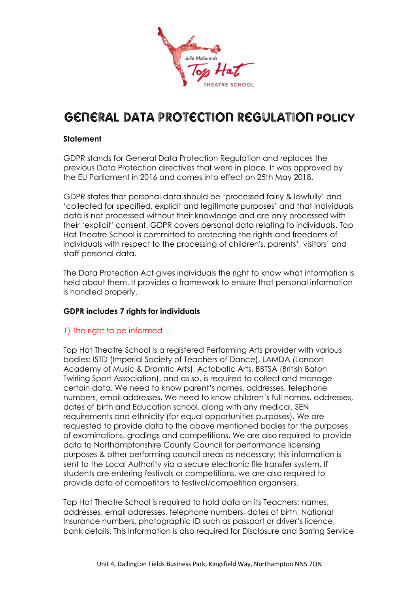

# **GENERAL DATA PROTECTION REGULATION POLICY**

### **Statement**

GDPR stands for General Data Protection Regulation and replaces the previous Data Protection directives that were in place. It was approved by the EU Parliament in 2016 and comes into effect on 25th May 2018.

GDPR states that personal data should be 'processed fairly & lawfully' and 'collected for specified, explicit and legitimate purposes' and that individuals data is not processed without their knowledge and are only processed with their 'explicit' consent. GDPR covers personal data relating to individuals. Top Hat Theatre School is committed to protecting the rights and freedoms of individuals with respect to the processing of children's, parents', visitors' and staff personal data.

The Data Protection Act gives individuals the right to know what information is held about them. It provides a framework to ensure that personal information is handled properly.

#### **GDPR includes 7 rights for individuals**

# 1) The right to be informed

Top Hat Theatre School is a registered Performing Arts provider with various bodies: ISTD (Imperial Society of Teachers of Dance), LAMDA (London Academy of Music & Dramtic Arts), Actobatic Arts, BBTSA (British Baton Twirling Sport Association), and as so, is required to collect and manage certain data. We need to know parent's names, addresses, telephone numbers, email addresses. We need to know children's full names, addresses, dates of birth and Education school, along with any medical, SEN requirements and ethnicity (for equal opportunities purposes). We are requested to provide data to the above mentioned bodies for the purposes of examinations, gradings and competitions. We are also required to provide data to Northamptonshire County Council for performance licensing purposes & other performing council areas as necessary; this information is sent to the Local Authority via a secure electronic file transfer system. If students are entering festivals or competitions, we are also required to provide data of competitors to festival/competition organisers.

Top Hat Theatre School is required to hold data on its Teachers; names, addresses, email addresses, telephone numbers, dates of birth, National Insurance numbers, photographic ID such as passport or driver's licence, bank details. This information is also required for Disclosure and Barring Service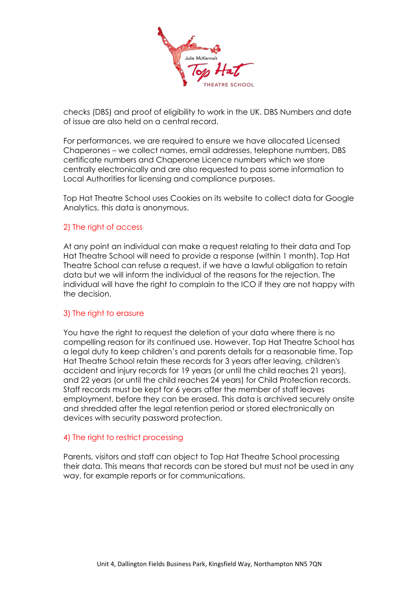

checks (DBS) and proof of eligibility to work in the UK. DBS Numbers and date of issue are also held on a central record.

For performances, we are required to ensure we have allocated Licensed Chaperones – we collect names, email addresses, telephone numbers, DBS certificate numbers and Chaperone Licence numbers which we store centrally electronically and are also requested to pass some information to Local Authorities for licensing and compliance purposes.

Top Hat Theatre School uses Cookies on its website to collect data for Google Analytics, this data is anonymous.

#### 2) The right of access

At any point an individual can make a request relating to their data and Top Hat Theatre School will need to provide a response (within 1 month). Top Hat Theatre School can refuse a request, if we have a lawful obligation to retain data but we will inform the individual of the reasons for the rejection. The individual will have the right to complain to the ICO if they are not happy with the decision.

#### 3) The right to erasure

You have the right to request the deletion of your data where there is no compelling reason for its continued use. However, Top Hat Theatre School has a legal duty to keep children's and parents details for a reasonable time, Top Hat Theatre School retain these records for 3 years after leaving, children's accident and injury records for 19 years (or until the child reaches 21 years), and 22 years (or until the child reaches 24 years) for Child Protection records. Staff records must be kept for 6 years after the member of staff leaves employment, before they can be erased. This data is archived securely onsite and shredded after the legal retention period or stored electronically on devices with security password protection.

#### 4) The right to restrict processing

Parents, visitors and staff can object to Top Hat Theatre School processing their data. This means that records can be stored but must not be used in any way, for example reports or for communications.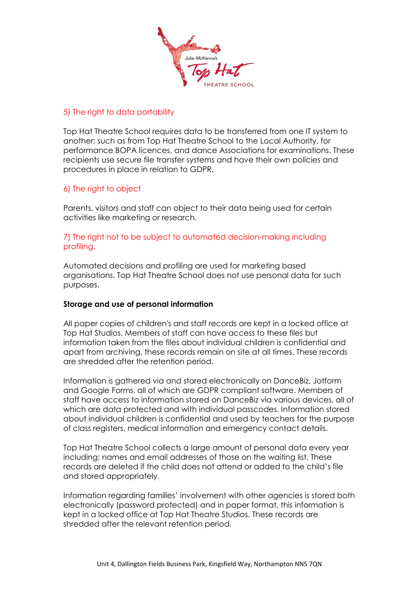

# 5) The right to data portability

Top Hat Theatre School requires data to be transferred from one IT system to another; such as from Top Hat Theatre School to the Local Authority, for performance BOPA licences, and dance Associations for examinations. These recipients use secure file transfer systems and have their own policies and procedures in place in relation to GDPR.

## 6) The right to object

Parents, visitors and staff can object to their data being used for certain activities like marketing or research.

## 7) The right not to be subject to automated decision-making including profiling.

Automated decisions and profiling are used for marketing based organisations. Top Hat Theatre School does not use personal data for such purposes.

#### **Storage and use of personal information**

All paper copies of children's and staff records are kept in a locked office at Top Hat Studios. Members of staff can have access to these files but information taken from the files about individual children is confidential and apart from archiving, these records remain on site at all times. These records are shredded after the retention period.

Information is gathered via and stored electronically on DanceBiz, Jotform and Google Forms, all of which are GDPR compliant software. Members of staff have access to information stored on DanceBiz via various devices, all of which are data protected and with individual passcodes. Information stored about individual children is confidential and used by teachers for the purpose of class registers, medical information and emergency contact details.

Top Hat Theatre School collects a large amount of personal data every year including; names and email addresses of those on the waiting list. These records are deleted if the child does not attend or added to the child's file and stored appropriately.

Information regarding families' involvement with other agencies is stored both electronically (password protected) and in paper format, this information is kept in a locked office at Top Hat Theatre Studios. These records are shredded after the relevant retention period.